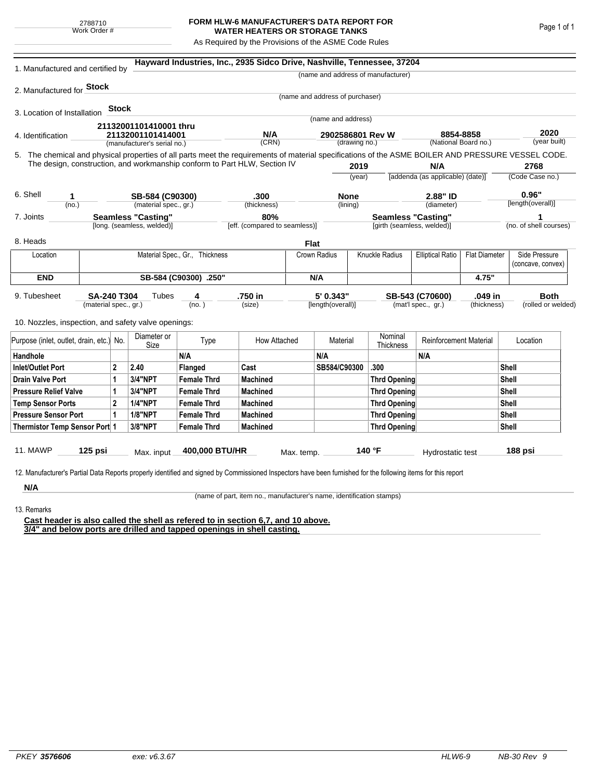## **FORM HLW-6 MANUFACTURER'S DATA REPORT FOR WATER HEATERS OR STORAGE TANKS**

As Required by the Provisions of the ASME Code Rules

| 1. Manufactured and certified by                                                                                                                                                                                                |                           |                 |                               |                                | Hayward Industries, Inc., 2935 Sidco Drive, Nashville, Tennessee, 37204 |            |                                   |                                            |                                           |                                         |                      |                      |                        |
|---------------------------------------------------------------------------------------------------------------------------------------------------------------------------------------------------------------------------------|---------------------------|-----------------|-------------------------------|--------------------------------|-------------------------------------------------------------------------|------------|-----------------------------------|--------------------------------------------|-------------------------------------------|-----------------------------------------|----------------------|----------------------|------------------------|
|                                                                                                                                                                                                                                 |                           |                 |                               |                                |                                                                         |            |                                   |                                            | (name and address of manufacturer)        |                                         |                      |                      |                        |
| 2. Manufactured for <b>Stock</b>                                                                                                                                                                                                |                           |                 |                               |                                |                                                                         |            |                                   |                                            |                                           |                                         |                      |                      |                        |
|                                                                                                                                                                                                                                 |                           |                 |                               |                                |                                                                         |            | (name and address of purchaser)   |                                            |                                           |                                         |                      |                      |                        |
| 3. Location of Installation                                                                                                                                                                                                     |                           | <b>Stock</b>    |                               |                                |                                                                         |            | (name and address)                |                                            |                                           |                                         |                      |                      |                        |
|                                                                                                                                                                                                                                 |                           |                 | 21132001101410001 thru        |                                |                                                                         |            |                                   |                                            |                                           |                                         |                      |                      |                        |
| 4. Identification                                                                                                                                                                                                               |                           |                 | 21132001101414001             |                                | N/A<br>(CRN)                                                            |            | 2902586801 Rev W<br>(drawing no.) |                                            |                                           | 8854-8858<br>(National Board no.)       |                      | 2020<br>(year built) |                        |
|                                                                                                                                                                                                                                 |                           |                 | (manufacturer's serial no.)   |                                |                                                                         |            |                                   |                                            |                                           |                                         |                      |                      |                        |
| 5. The chemical and physical properties of all parts meet the requirements of material specifications of the ASME BOILER AND PRESSURE VESSEL CODE.<br>The design, construction, and workmanship conform to Part HLW, Section IV |                           |                 |                               |                                |                                                                         |            |                                   |                                            |                                           |                                         |                      |                      | 2768                   |
|                                                                                                                                                                                                                                 |                           |                 |                               |                                |                                                                         |            | 2019<br>(year)                    |                                            |                                           | N/A<br>[addenda (as applicable) (date)] |                      | (Code Case no.)      |                        |
|                                                                                                                                                                                                                                 |                           |                 |                               |                                |                                                                         |            |                                   |                                            |                                           |                                         |                      |                      |                        |
| 6. Shell<br>1                                                                                                                                                                                                                   |                           |                 | SB-584 (C90300)               |                                | .300                                                                    |            | <b>None</b>                       |                                            |                                           | 2.88" ID                                |                      | 0.96"                |                        |
| (no.)                                                                                                                                                                                                                           |                           |                 | (material spec., gr.)         |                                | (thickness)                                                             |            |                                   | (lining)                                   |                                           | (diameter)                              |                      |                      | [length(overall)]      |
| 7. Joints                                                                                                                                                                                                                       | <b>Seamless "Casting"</b> |                 |                               |                                | 80%                                                                     |            |                                   | <b>Seamless "Casting"</b>                  |                                           |                                         |                      |                      |                        |
|                                                                                                                                                                                                                                 |                           |                 | [long. (seamless, welded)]    |                                | [eff. (compared to seamless)]                                           |            |                                   |                                            | [girth (seamless, welded)]                |                                         |                      |                      | (no. of shell courses) |
| 8. Heads                                                                                                                                                                                                                        |                           |                 |                               |                                |                                                                         |            | <b>Flat</b>                       |                                            |                                           |                                         |                      |                      |                        |
| Location                                                                                                                                                                                                                        |                           |                 |                               | Material Spec., Gr., Thickness |                                                                         |            | Crown Radius                      |                                            | Knuckle Radius<br><b>Elliptical Ratio</b> |                                         | <b>Flat Diameter</b> |                      | Side Pressure          |
|                                                                                                                                                                                                                                 |                           |                 |                               |                                |                                                                         |            |                                   |                                            |                                           |                                         |                      |                      | (concave, convex)      |
| <b>END</b>                                                                                                                                                                                                                      | SB-584 (C90300) .250"     |                 |                               |                                |                                                                         |            | N/A                               |                                            |                                           |                                         | 4.75"                |                      |                        |
| 9. Tubesheet<br><b>SA-240 T304</b><br>(material spec., gr.)                                                                                                                                                                     |                           |                 | Tubes                         | 4                              | .750 in                                                                 |            | 5' 0.343"                         |                                            | .049 in<br>SB-543 (C70600)                |                                         |                      | <b>Both</b>          |                        |
|                                                                                                                                                                                                                                 |                           |                 | (no. )                        |                                | (size)                                                                  |            | [length(overall)]                 |                                            | (mat'l spec., gr.)<br>(thickness)         |                                         |                      | (rolled or welded)   |                        |
| 10. Nozzles, inspection, and safety valve openings:                                                                                                                                                                             |                           |                 |                               |                                |                                                                         |            |                                   |                                            |                                           |                                         |                      |                      |                        |
| Purpose (inlet, outlet, drain, etc.) No.                                                                                                                                                                                        |                           |                 | Diameter or                   | Type                           | How Attached                                                            |            | Material                          |                                            | Nominal                                   | <b>Reinforcement Material</b>           |                      |                      | Location               |
|                                                                                                                                                                                                                                 |                           |                 | Size                          | N/A                            |                                                                         |            | N/A                               |                                            | Thickness                                 | N/A                                     |                      |                      |                        |
| Handhole                                                                                                                                                                                                                        |                           |                 |                               |                                | Cast                                                                    |            | SB584/C90300                      |                                            | .300                                      |                                         |                      |                      |                        |
| <b>Inlet/Outlet Port</b><br>$\mathbf{2}$                                                                                                                                                                                        |                           | 2.40<br>3/4"NPT | Flanged<br><b>Female Thrd</b> |                                |                                                                         |            |                                   |                                            |                                           | Shell<br>Shell                          |                      |                      |                        |
| <b>Drain Valve Port</b><br>1                                                                                                                                                                                                    |                           |                 |                               |                                | <b>Machined</b>                                                         |            |                                   |                                            | <b>Thrd Opening</b>                       |                                         |                      | Shell                |                        |
| <b>Pressure Relief Valve</b><br>1                                                                                                                                                                                               |                           |                 | 3/4"NPT<br><b>1/4"NPT</b>     | <b>Female Thrd</b>             | <b>Machined</b>                                                         |            |                                   | <b>Thrd Opening</b><br><b>Thrd Opening</b> |                                           |                                         | Shell                |                      |                        |
| $\overline{2}$<br><b>Temp Sensor Ports</b>                                                                                                                                                                                      |                           |                 | <b>1/8"NPT</b>                | <b>Female Thrd</b>             | <b>Machined</b>                                                         |            |                                   |                                            |                                           |                                         |                      | Shell                |                        |
| <b>Pressure Sensor Port</b><br>1<br>Thermistor Temp Sensor Port 1                                                                                                                                                               |                           |                 |                               | <b>Female Thrd</b>             | <b>Machined</b>                                                         |            |                                   |                                            | Thrd Opening<br>Thrd Opening              |                                         |                      | Shell                |                        |
|                                                                                                                                                                                                                                 |                           |                 | 3/8"NPT                       | <b>Female Thrd</b>             | <b>Machined</b>                                                         |            |                                   |                                            |                                           |                                         |                      |                      |                        |
| 11. MAWP                                                                                                                                                                                                                        | $125$ psi                 |                 | Max. input                    | 400,000 BTU/HR                 |                                                                         | Max. temp. |                                   |                                            | 140 °F                                    | Hydrostatic test                        |                      |                      | 188 psi                |
|                                                                                                                                                                                                                                 |                           |                 |                               |                                |                                                                         |            |                                   |                                            |                                           |                                         |                      |                      |                        |
| 12. Manufacturer's Partial Data Reports properly identified and signed by Commissioned Inspectors have been furnished for the following items for this report                                                                   |                           |                 |                               |                                |                                                                         |            |                                   |                                            |                                           |                                         |                      |                      |                        |
| N/A                                                                                                                                                                                                                             |                           |                 |                               |                                |                                                                         |            |                                   |                                            |                                           |                                         |                      |                      |                        |

(name of part, item no., manufacturer's name, identification stamps)

13. Remarks

**Cast header is also called the shell as refered to in section 6,7, and 10 above. 3/4" and below ports are drilled and tapped openings in shell casting.**